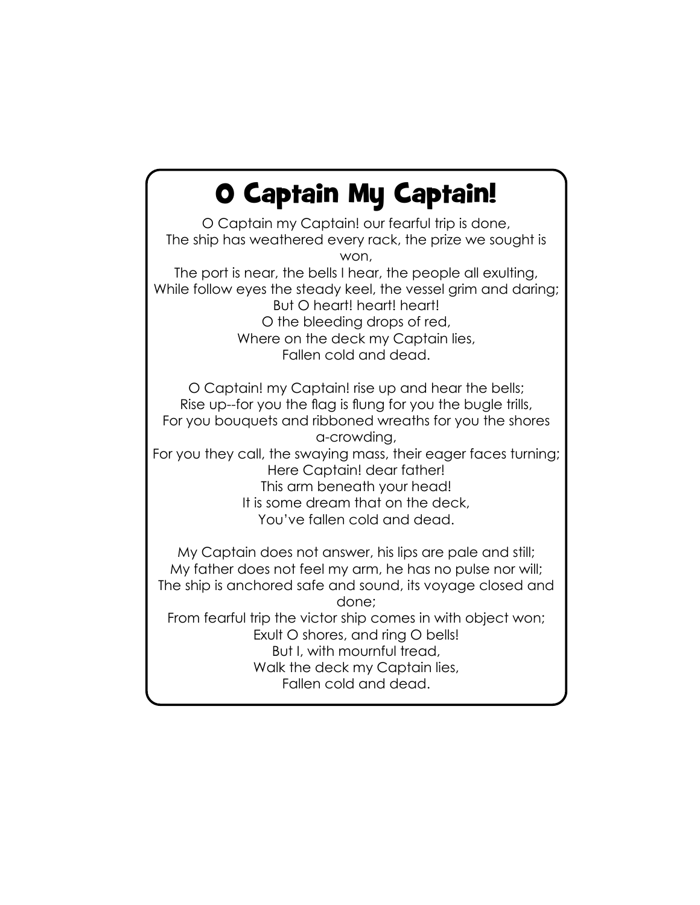## O Captain My Captain!

O Captain my Captain! our fearful trip is done, The ship has weathered every rack, the prize we sought is won, The port is near, the bells I hear, the people all exulting, While follow eyes the steady keel, the vessel grim and daring; But O heart! heart! heart! O the bleeding drops of red, Where on the deck my Captain lies, Fallen cold and dead.

O Captain! my Captain! rise up and hear the bells; Rise up--for you the flag is flung for you the bugle trills, For you bouquets and ribboned wreaths for you the shores a-crowding, For you they call, the swaying mass, their eager faces turning; Here Captain! dear father! This arm beneath your head! It is some dream that on the deck, You've fallen cold and dead.

My Captain does not answer, his lips are pale and still; My father does not feel my arm, he has no pulse nor will; The ship is anchored safe and sound, its voyage closed and done; From fearful trip the victor ship comes in with object won; Exult O shores, and ring O bells! But I, with mournful tread, Walk the deck my Captain lies, Fallen cold and dead.